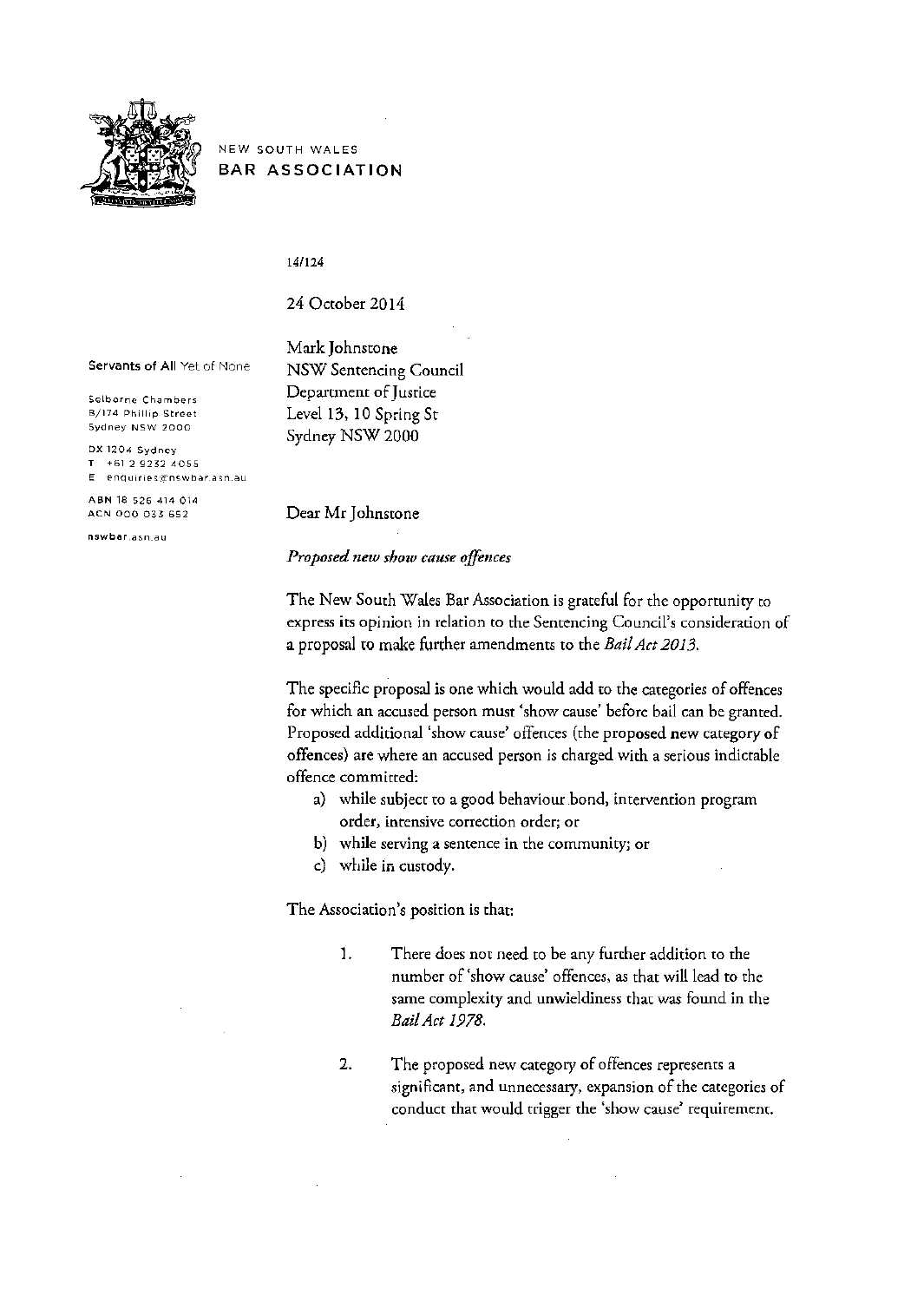

NEW SOUTH WALES BAR ASSOCIATION

14/124

24 October 2014

Mark Johnstone

Servants of All Yet of None

Selborne Chambers B/174 Phillip Street Sydney NSW 2000

DX 1204 Sydnoy T +61 2 9232 4055 E enquiries@nswbar.asn.au

ABN 18 526 414 014 ACN 000 033 652

nswbar.asn.au

NSW Sentencing Council Department of Justice Level 13, 10 Spring St Sydney NSW 2000

Dear Mr Johnstone

*Proposed new show cause offences* 

The New South Wales Bar Association is grateful for the opportunity to express its opinion in relation to the Sentencing Council's consideration of a proposal to make further amendments to the *Bail Act 2013.* 

The specific proposal is one which would add to the categories of offences for which an accused person must 'show cause' before bail can be granted. Proposed additional 'show cause' offences (rhe proposed new category of offences) are where an accused person is charged with a serious indictable offence committed:

- a) while subject to a good behaviour bond, intervention program order, intensive correction order; or
- b) while serving a sentence in the community; or
- c) while in custody.

The Association's position is that:

- 1. There does not need to be any further addition to the number of 'show cause' offences, *as* that will lead to the same complexity and unwieldiness that was found in the *Bail Act 1978.*
- 2. The proposed new category of offences represents a significant, and unnecessary, expansion of the categories of conduct that would trigger the 'show cause' requirement.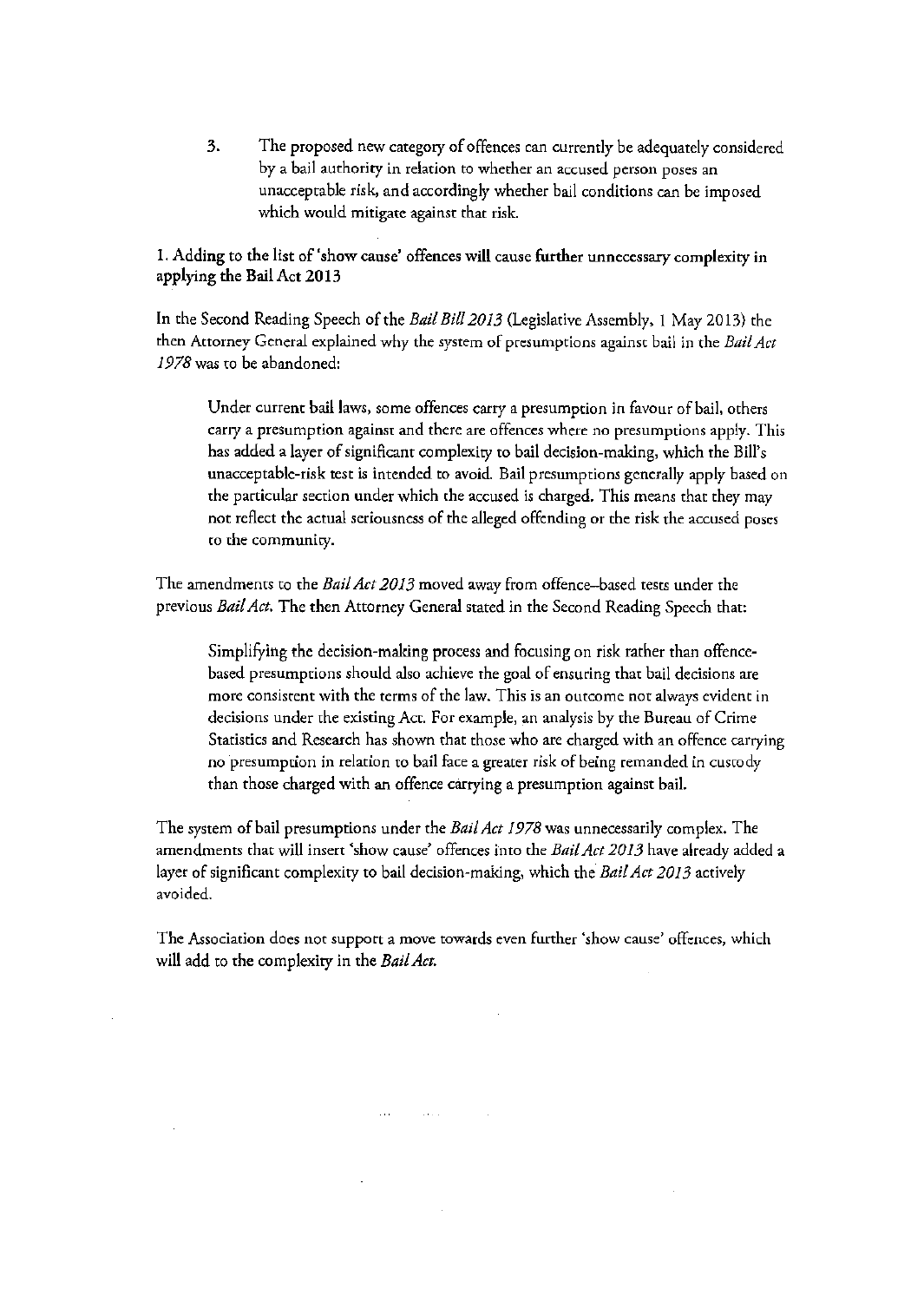3. The proposed new category of offences can currently be adequately considered by a bail authority in relation to whether an accused person poses an unacceptable risk, and accordingly whether bail conditions can be imposed which would mitigate against that risk.

1. Adding to the list of 'show cause' offences will cause further unnecessary complexity in applying the Bail Act 2013

In the Second Reading Speech of the *Bail Bill20 13* (Legislative Assembly, 1 May 20 13) the then Attorney General explained why the system of presumptions against bail in the *Bail Act 1978was* to be abandoned:

Under current bail laws, some offences carry a presumption in favour of bail, others cany a presumption againsr and there are offences where no presumptions apply. This has added a layer of significant complexity to bail decision-making, which the Bill's unacceptable-risk test is intended to avoid. Bail presumptions generally apply based on the particular section under which the accused is charged. This means that they may not reflect the actual seriousness of the alleged offending or the risk rhe accused poses to the community.

The amendments to the *Bail Act 2013* moved away from offence-based tests under the previous *Bail Act.* The then Attorney General stated in the Second Reading Speech that:

Simplifying the decision-making process and focusing on risk rather than offencebased presumptions should also achieve the goal of ensuring that bail decisions are more consistent with the terms of the law. This is an outcome not always evident in decisions under the existing Act. For example, an analysis by the Bureau of Crime Statistics and Research has shown that those who are charged with an offence carrying no presumption in relation to bail face a greater risk of being remanded in custody than those charged with an offence carrying a presumption against bail.

The system of bail presumptions under the *Bail Act 1978* was unnecessarily complex. The amendments that will insert 'show cause' offences into the *Bail Act 2013* have already added a layer of significant complexity to bail decision-making, which the *Bail Act 2013* actively avoided.

The Association does not support a move towards even further 'show cause' offences, which will add to the complexity in the *Bail Act.* 

**Contractor**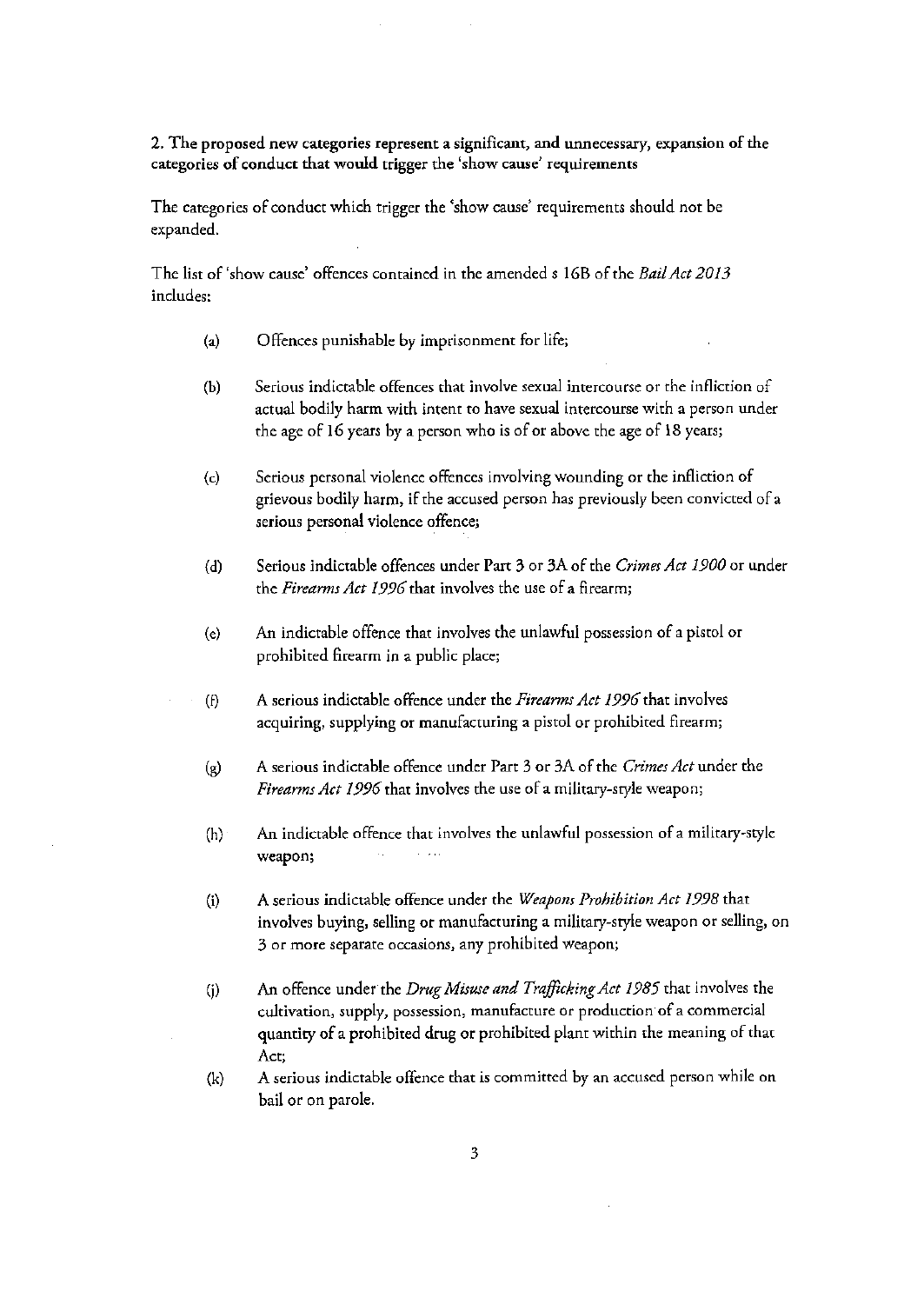## 2. The proposed new categories represent a significant, and unnecessary, expansion of the categories of conduct that would trigger the 'show cause' requirements

The categories of conduct which trigger the 'show cause' requirements should not be expanded.

The list of 'show cause' offences contained in the amended s 16B of the *Bail Act 2013*  includes:

- (a) Offences punishable by imprisonment for life;
- (b) Serious indictable offences that involve sexual intercourse or the infliction of actual bodily harm with intent to have sexual intercourse with a person under the age of 16 years by a person who is of or above the age of 18 years;
- (c) Serious personal violence offences involving wounding or the infliction of grievous bodily harm, if the accused person has previously been convicted of a serious personal violence offence;
- (d) Serious indictable offences under Part 3 or 3A of the *Crimes Act 1900* or under the *Firearms Act 1996* that involves the use of a firearm;
- (e) An indictable offence that involves the unlawful possession of a pistol or prohibited firearm in a public place;
- (f) A serious indictable offence under the *Firearms Act 1996* that involves acquiring, supplying or manufacturing a pistol or prohibited firearm;
- (g) A serious indictable offence under Part 3 or 3A of the *Crimes Act* under the *Firearms Act 1996* that involves the use of a military-style weapon;
- (h) An indictable offence that involves the unlawful possession of a military-style weapon;  $\sim 10$
- (i) A serious indictable offence under the *Weapons Prohibition Act 1998* that involves buying, selling or manufacturing a military-style weapon or selling, on 3 or more separate occasions, any prohibited weapon;
- (j) An offence under the *Drug Misuse and Trafficking Act 1985* that involves the cultivation, supply, possession, manufacture or production of a commercial quantity of a prohibited drug or prohibited plant within the meaning of that Act;
- {k) A serious indictable offence that is committed by an accused person while on bail or on parole.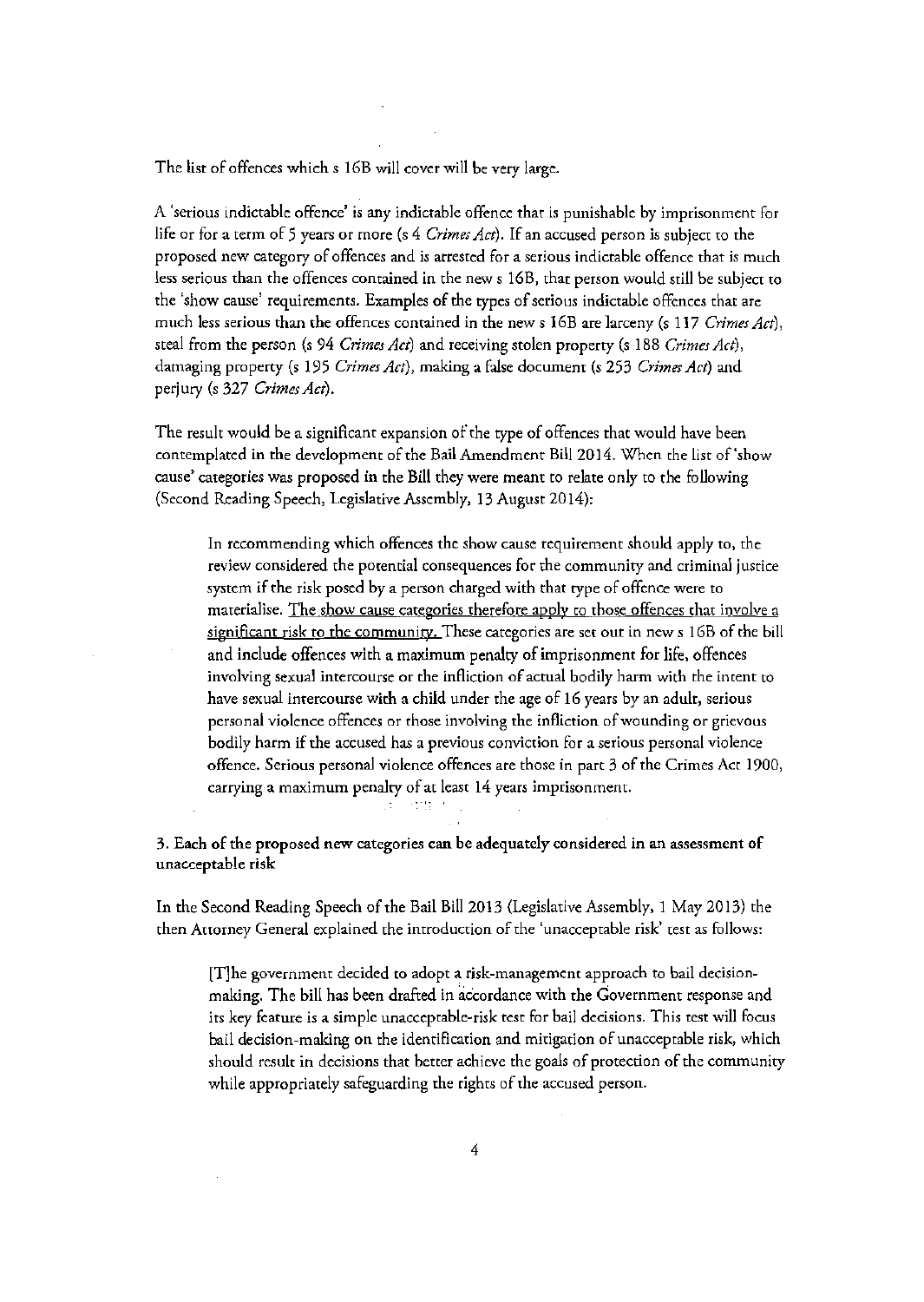The list of offences which s 16B will cover will be very large.

A 'serious indictable offence' is any indictable offence that is punishable by imprisonment for life or for a term of 5 years or more (s 4 *Crimes Act).* If an accused person is subject to the proposed new category of offences and is arrested for a serious indictable offence that is much less serious than the offences contained in the news 16B, that person would still be subject to the 'show cause' requirements. Examples of the types of serious indictable offences that are much less serious than the offences contained in the news I6B are larceny (s 117 *Crimes Act),*  steal from the person (s 94 *Crimes Act}* and receiving stolen property (s 188 *Crimes Act),*  damaging property (s 195 *Crimes Act),* making a false document (s 253 *Crimes Act)* and perjury (s 327 *Crimes Act}.* 

The result would be a significant expansion of the type of offences that would have been contemplated in the development of the Bail Amendment Bill 2014. When the list of'show cause' categories was proposed in the Bill they were meant to relate only to the following (Second Reading Speech, Legislative Assembly, 13 August 2014):

In recommending which offences the show cause requirement should apply to, the review considered the potential consequences for the community and criminal justice system if the risk posed by a person charged with that type of offence were to materialise. The show cause categories therefore apply to those offences that involve a significant risk to the community. These categories are set out in new s 16B of the bill and include offences with a maximum penalty of imprisonment for life, offences involving sexual intercourse or the infliction of actual bodily harm with the intent to have sexual intercourse with a child under the age of 16 years by an adult, serious personal violence offences or those involving the infliction of wounding or grievous bodily harm if the accused has a previous conviction for a serious personal violence offence. Serious personal violence offences are those in part 3 of the Crimes Act 1900, carrying a maximum penalty of at least 14 years imprisonment.

그는 호텔 기

3. Each of the proposed new categories can be adequately considered in an assessment of unacceptable risk

In the Second Reading Speech of the Bail Bill 2013 (Legislative Assembly, 1 May 20 13) the then Attorney General explained the introduction of the 'unacceptable risk' test as follows:

[T]he government decided to adopt a risk-management approach to bail decisionmaking. The bill has been drafted in accordance with the Government response and its key feature is a simple unacceptable-risk test for bail decisions. This test will focus bail decision-making on the identification and mitigation of unacceptable risk, which should result in decisions that better achieve the goals of protection of the community while appropriately safeguarding the rights of the accused person.